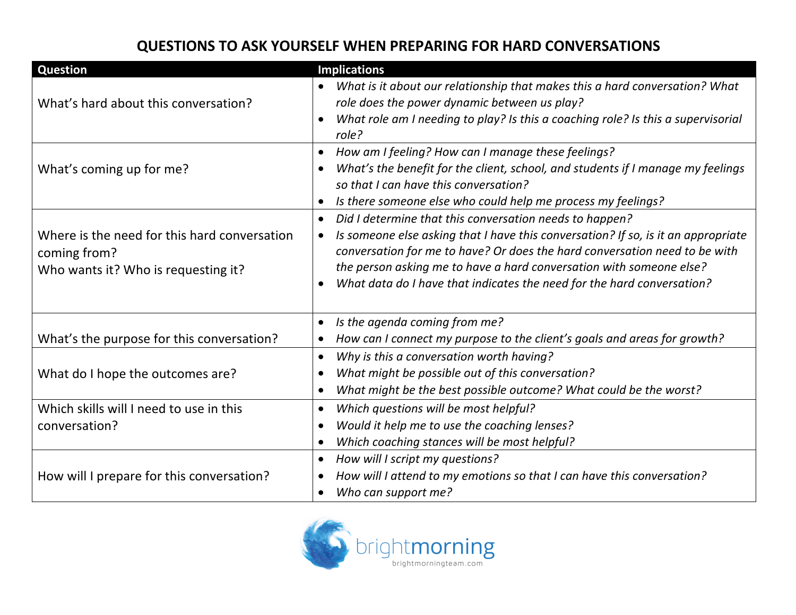## **QUESTIONS TO ASK YOURSELF WHEN PREPARING FOR HARD CONVERSATIONS**

| <b>Question</b>                              | <b>Implications</b>                                                                            |
|----------------------------------------------|------------------------------------------------------------------------------------------------|
|                                              | What is it about our relationship that makes this a hard conversation? What                    |
| What's hard about this conversation?         | role does the power dynamic between us play?                                                   |
|                                              | What role am I needing to play? Is this a coaching role? Is this a supervisorial               |
|                                              | role?                                                                                          |
|                                              | How am I feeling? How can I manage these feelings?<br>$\bullet$                                |
| What's coming up for me?                     | What's the benefit for the client, school, and students if I manage my feelings<br>$\bullet$   |
|                                              | so that I can have this conversation?                                                          |
|                                              | Is there someone else who could help me process my feelings?                                   |
|                                              | Did I determine that this conversation needs to happen?<br>$\bullet$                           |
| Where is the need for this hard conversation | Is someone else asking that I have this conversation? If so, is it an appropriate<br>$\bullet$ |
| coming from?                                 | conversation for me to have? Or does the hard conversation need to be with                     |
| Who wants it? Who is requesting it?          | the person asking me to have a hard conversation with someone else?                            |
|                                              | What data do I have that indicates the need for the hard conversation?                         |
|                                              |                                                                                                |
|                                              | Is the agenda coming from me?<br>$\bullet$                                                     |
| What's the purpose for this conversation?    | How can I connect my purpose to the client's goals and areas for growth?<br>$\bullet$          |
|                                              | Why is this a conversation worth having?<br>$\bullet$                                          |
| What do I hope the outcomes are?             | What might be possible out of this conversation?                                               |
|                                              | What might be the best possible outcome? What could be the worst?                              |
| Which skills will I need to use in this      | Which questions will be most helpful?<br>$\bullet$                                             |
| conversation?                                | Would it help me to use the coaching lenses?                                                   |
|                                              | Which coaching stances will be most helpful?                                                   |
|                                              | How will I script my questions?<br>$\bullet$                                                   |
| How will I prepare for this conversation?    | How will I attend to my emotions so that I can have this conversation?                         |
|                                              | Who can support me?                                                                            |